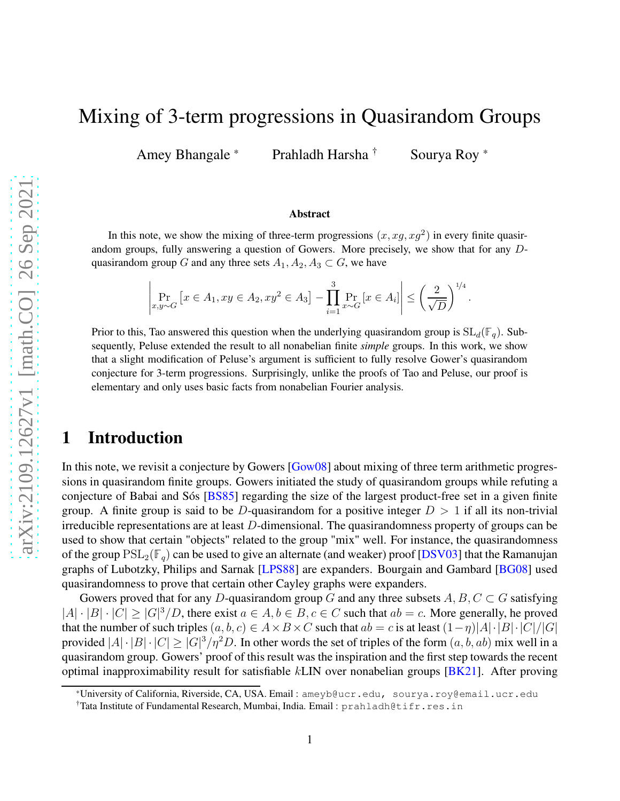# <span id="page-0-0"></span>Mixing of 3-term progressions in Quasirandom Groups

Amey Bhangale \* Prahladh Harsha <sup>†</sup> Sourya Roy \*

#### Abstract

In this note, we show the mixing of three-term progressions  $(x, xg, xg^2)$  in every finite quasirandom groups, fully answering a question of Gowers. More precisely, we show that for any Dquasirandom group G and any three sets  $A_1, A_2, A_3 \subset G$ , we have

$$
\left| \Pr_{x,y \sim G} \left[ x \in A_1, xy \in A_2, xy^2 \in A_3 \right] - \prod_{i=1}^3 \Pr_{x \sim G} \left[ x \in A_i \right] \right| \le \left( \frac{2}{\sqrt{D}} \right)^{1/4}.
$$

Prior to this, Tao answered this question when the underlying quasirandom group is  $SL_d(\mathbb{F}_q)$ . Subsequently, Peluse extended the result to all nonabelian finite *simple* groups. In this work, we show that a slight modification of Peluse's argument is sufficient to fully resolve Gower's quasirandom conjecture for 3-term progressions. Surprisingly, unlike the proofs of Tao and Peluse, our proof is elementary and only uses basic facts from nonabelian Fourier analysis.

# 1 Introduction

In this note, we revisit a conjecture by Gowers [\[Gow08\]](#page-8-0) about mixing of three term arithmetic progressions in quasirandom finite groups. Gowers initiated the study of quasirandom groups while refuting a conjecture of Babai and Sós [\[BS85\]](#page-8-1) regarding the size of the largest product-free set in a given finite group. A finite group is said to be D-quasirandom for a positive integer  $D > 1$  if all its non-trivial irreducible representations are at least D-dimensional. The quasirandomness property of groups can be used to show that certain "objects" related to the group "mix" well. For instance, the quasirandomness of the group  $PSL_2(\mathbb{F}_q)$  can be used to give an alternate (and weaker) proof [\[DSV03\]](#page-8-2) that the Ramanujan graphs of Lubotzky, Philips and Sarnak [\[LPS88\]](#page-8-3) are expanders. Bourgain and Gambard [\[BG08\]](#page-8-4) used quasirandomness to prove that certain other Cayley graphs were expanders.

Gowers proved that for any D-quasirandom group G and any three subsets  $A, B, C \subset G$  satisfying  $|A| \cdot |B| \cdot |C| \ge |G|^3/D$ , there exist  $a \in A, b \in B, c \in C$  such that  $ab = c$ . More generally, he proved that the number of such triples  $(a, b, c) \in A \times B \times C$  such that  $ab = c$  is at least  $(1 - \eta)|A| \cdot |B| \cdot |C|/|G|$ provided  $|A| \cdot |B| \cdot |C| \ge |G|^3 / \eta^2 D$ . In other words the set of triples of the form  $(a, b, ab)$  mix well in a quasirandom group. Gowers' proof of this result was the inspiration and the first step towards the recent optimal inapproximability result for satisfiable kLIN over nonabelian groups [\[BK21\]](#page-8-5). After proving

<sup>\*</sup>University of California, Riverside, CA, USA. Email : ameyb@ucr.edu, sourya.roy@email.ucr.edu

<sup>†</sup>Tata Institute of Fundamental Research, Mumbai, India. Email : prahladh@tifr.res.in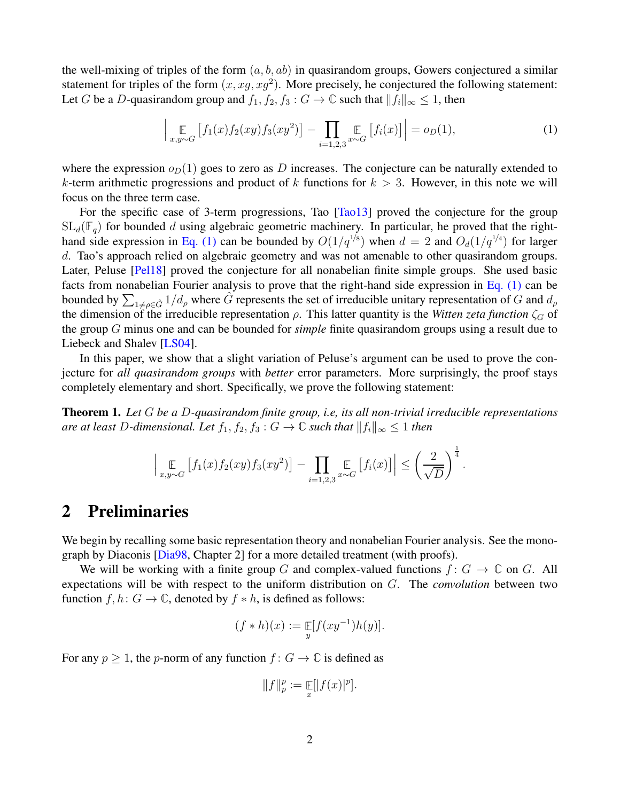<span id="page-1-2"></span>the well-mixing of triples of the form  $(a, b, ab)$  in quasirandom groups, Gowers conjectured a similar statement for triples of the form  $(x, xg, xg^2)$ . More precisely, he conjectured the following statement: Let G be a D-quasirandom group and  $f_1, f_2, f_3 : G \to \mathbb{C}$  such that  $||f_i||_{\infty} \leq 1$ , then

<span id="page-1-0"></span>
$$
\left| \mathop{\mathbb{E}}_{x,y \sim G} \left[ f_1(x) f_2(xy) f_3(xy^2) \right] - \prod_{i=1,2,3} \mathop{\mathbb{E}}_{x \sim G} \left[ f_i(x) \right] \right| = o_D(1),\tag{1}
$$

where the expression  $o_D(1)$  goes to zero as D increases. The conjecture can be naturally extended to k-term arithmetic progressions and product of k functions for  $k > 3$ . However, in this note we will focus on the three term case.

For the specific case of 3-term progressions, Tao [\[Tao13\]](#page-8-6) proved the conjecture for the group  $SL_d(\mathbb{F}_q)$  for bounded d using algebraic geometric machinery. In particular, he proved that the right-hand side expression in [Eq. \(1\)](#page-1-0) can be bounded by  $O(1/q^{1/8})$  when  $d = 2$  and  $O_d(1/q^{1/4})$  for larger d. Tao's approach relied on algebraic geometry and was not amenable to other quasirandom groups. Later, Peluse [\[Pel18\]](#page-8-7) proved the conjecture for all nonabelian finite simple groups. She used basic facts from nonabelian Fourier analysis to prove that the right-hand side expression in [Eq. \(1\)](#page-1-0) can be bounded by  $\sum_{1 \neq \rho \in \hat{G}} 1/d_\rho$  where  $\hat{G}$  represents the set of irreducible unitary representation of G and  $d_\rho$ the dimension of the irreducible representation  $\rho$ . This latter quantity is the *Witten zeta function*  $\zeta_G$  of the group G minus one and can be bounded for *simple* finite quasirandom groups using a result due to Liebeck and Shalev [\[LS04\]](#page-8-8).

In this paper, we show that a slight variation of Peluse's argument can be used to prove the conjecture for *all quasirandom groups* with *better* error parameters. More surprisingly, the proof stays completely elementary and short. Specifically, we prove the following statement:

<span id="page-1-1"></span>Theorem 1. *Let* G *be a* D*-quasirandom finite group, i.e, its all non-trivial irreducible representations are at least D-dimensional. Let*  $f_1, f_2, f_3 : G \to \mathbb{C}$  *such that*  $||f_i||_{\infty} \leq 1$  *then* 

$$
\left|\mathop{\mathbb{E}}_{x,y\sim G}\left[f_1(x)f_2(xy)f_3(xy^2)\right]-\prod_{i=1,2,3}\mathop{\mathbb{E}}_{x\sim G}\left[f_i(x)\right]\right|\leq \left(\frac{2}{\sqrt{D}}\right)^{\frac{1}{4}}.
$$

### 2 Preliminaries

We begin by recalling some basic representation theory and nonabelian Fourier analysis. See the monograph by Diaconis [\[Dia98,](#page-8-9) Chapter 2] for a more detailed treatment (with proofs).

We will be working with a finite group G and complex-valued functions  $f: G \to \mathbb{C}$  on G. All expectations will be with respect to the uniform distribution on G. The *convolution* between two function  $f, h: G \to \mathbb{C}$ , denoted by  $f * h$ , is defined as follows:

$$
(f * h)(x) := \mathop{\mathbb{E}}_{y}[f(xy^{-1})h(y)].
$$

For any  $p \geq 1$ , the p-norm of any function  $f: G \to \mathbb{C}$  is defined as

$$
||f||_p^p := \mathop{\mathbb{E}}_x[|f(x)|^p].
$$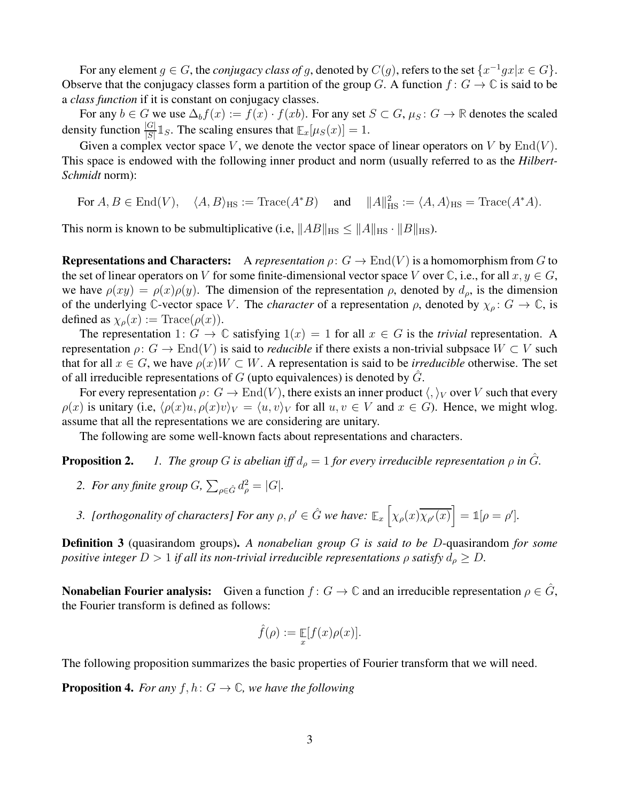For any element  $g \in G$ , the *conjugacy class of* g, denoted by  $C(g)$ , refers to the set  $\{x^{-1}gx|x \in G\}$ . Observe that the conjugacy classes form a partition of the group G. A function  $f: G \to \mathbb{C}$  is said to be a *class function* if it is constant on conjugacy classes.

For any  $b \in G$  we use  $\Delta_b f(x) := f(x) \cdot f(x)$ . For any set  $S \subset G$ ,  $\mu_S : G \to \mathbb{R}$  denotes the scaled density function  $\frac{|G|}{|S|} \mathbb{1}_S$ . The scaling ensures that  $\mathbb{E}_x[\mu_S(x)] = 1$ .

Given a complex vector space V, we denote the vector space of linear operators on V by  $\text{End}(V)$ . This space is endowed with the following inner product and norm (usually referred to as the *Hilbert-Schmidt* norm):

For  $A, B \in \text{End}(V)$ ,  $\langle A, B \rangle_{\text{HS}} := \text{Trace}(A^*B)$  and  $||A||_{\text{HS}}^2 := \langle A, A \rangle_{\text{HS}} = \text{Trace}(A^*A)$ .

This norm is known to be submultiplicative (i.e,  $||AB||_{HS} \le ||A||_{HS} \cdot ||B||_{HS}$ ).

**Representations and Characters:** A *representation*  $\rho: G \to \text{End}(V)$  is a homomorphism from G to the set of linear operators on V for some finite-dimensional vector space V over  $\mathbb C$ , i.e., for all  $x, y \in G$ , we have  $\rho(xy) = \rho(x)\rho(y)$ . The dimension of the representation  $\rho$ , denoted by  $d_{\rho}$ , is the dimension of the underlying C-vector space V. The *character* of a representation  $\rho$ , denoted by  $\chi_{\rho}$ :  $G \to \mathbb{C}$ , is defined as  $\chi_{\rho}(x) := \text{Trace}(\rho(x)).$ 

The representation 1:  $G \to \mathbb{C}$  satisfying  $1(x) = 1$  for all  $x \in G$  is the *trivial* representation. A representation  $\rho: G \to \text{End}(V)$  is said to *reducible* if there exists a non-trivial subpsace  $W \subset V$  such that for all  $x \in G$ , we have  $\rho(x)W \subset W$ . A representation is said to be *irreducible* otherwise. The set of all irreducible representations of  $G$  (upto equivalences) is denoted by  $\tilde{G}$ .

For every representation  $\rho: G \to \text{End}(V)$ , there exists an inner product  $\langle , \rangle_V$  over V such that every  $\rho(x)$  is unitary (i.e,  $\langle \rho(x)u, \rho(x)v \rangle_V = \langle u, v \rangle_V$  for all  $u, v \in V$  and  $x \in G$ ). Hence, we might wlog. assume that all the representations we are considering are unitary.

The following are some well-known facts about representations and characters.

**Proposition 2.** *1. The group* G *is abelian iff*  $d_{\rho} = 1$  *for every irreducible representation*  $\rho$  *in*  $\hat{G}$ *.* 

- 2. For any finite group  $G$ ,  $\sum_{\rho \in \hat{G}} d_{\rho}^2 = |G|$ .
- *3. [orthogonality of characters] For any*  $\rho, \rho' \in \hat{G}$  *we have:*  $\mathbb{E}_x \left[ \chi_{\rho}(x) \overline{\chi_{\rho'}(x)} \right] = \mathbb{1}[\rho = \rho']$ .

Definition 3 (quasirandom groups). *A nonabelian group* G *is said to be* D-quasirandom *for some positive integer*  $D > 1$  *if all its non-trivial irreducible representations*  $\rho$  *satisfy*  $d_{\rho} \geq D$ *.* 

**Nonabelian Fourier analysis:** Given a function  $f: G \to \mathbb{C}$  and an irreducible representation  $\rho \in \hat{G}$ , the Fourier transform is defined as follows:

$$
\hat{f}(\rho) := \mathop{\mathbb{E}}_{x} [f(x)\rho(x)].
$$

The following proposition summarizes the basic properties of Fourier transform that we will need.

**Proposition 4.** *For any*  $f, h: G \to \mathbb{C}$ *, we have the following*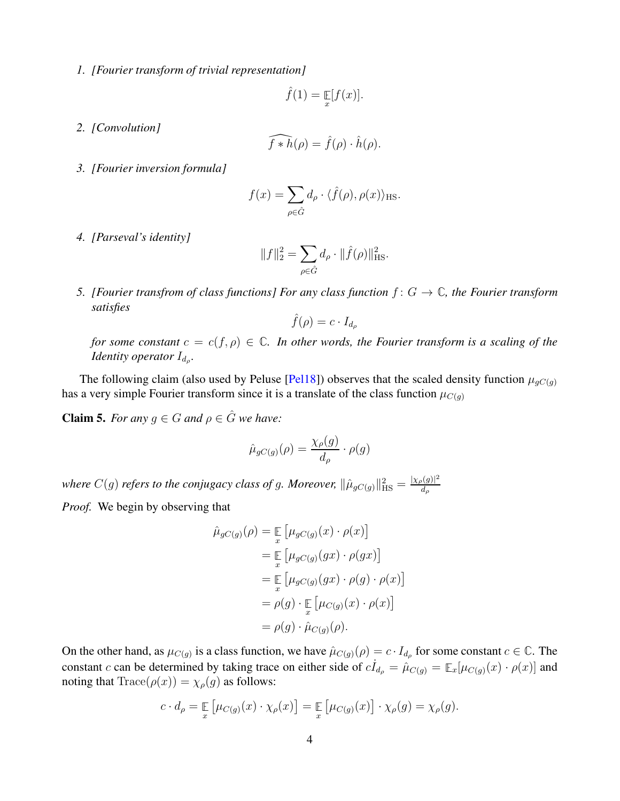<span id="page-3-1"></span>*1. [Fourier transform of trivial representation]*

$$
\hat{f}(1) = \mathop{\mathbb{E}}_{x}[f(x)].
$$

*2. [Convolution]*

$$
\widehat{f * h}(\rho) = \hat{f}(\rho) \cdot \hat{h}(\rho).
$$

*3. [Fourier inversion formula]*

$$
f(x) = \sum_{\rho \in \hat{G}} d_{\rho} \cdot \langle \hat{f}(\rho), \rho(x) \rangle_{\text{HS}}.
$$

*4. [Parseval's identity]*

$$
||f||_2^2 = \sum_{\rho \in \hat{G}} d_{\rho} \cdot ||\hat{f}(\rho)||_{\text{HS}}^2.
$$

*5. [Fourier transfrom of class functions] For any class function*  $f: G \to \mathbb{C}$ *, the Fourier transform satisfies*

$$
\hat{f}(\rho) = c \cdot I_{d_{\rho}}
$$

*for some constant*  $c = c(f, \rho) \in \mathbb{C}$ *. In other words, the Fourier transform is a scaling of the Identity operator* I<sub>d<sub>e</sub>.</sub>

<span id="page-3-0"></span>The following claim (also used by Peluse [\[Pel18\]](#page-8-7)) observes that the scaled density function  $\mu_{qC(q)}$ has a very simple Fourier transform since it is a translate of the class function  $\mu_{C(g)}$ 

**Claim 5.** *For any*  $q \in G$  *and*  $\rho \in \hat{G}$  *we have:* 

$$
\hat{\mu}_{gC(g)}(\rho) = \frac{\chi_{\rho}(g)}{d_{\rho}} \cdot \rho(g)
$$

where  $C(g)$  refers to the conjugacy class of g. Moreover,  $\|\hat{\mu}_{gC(g)}\|_{\text{HS}}^2 = \frac{|\chi_{\rho}(g)|^2}{d_{\rho}}$  $d_{\rho}$ 

*Proof.* We begin by observing that

$$
\hat{\mu}_{gC(g)}(\rho) = \mathop{\mathbb{E}}_{x} \left[ \mu_{gC(g)}(x) \cdot \rho(x) \right]
$$
\n
$$
= \mathop{\mathbb{E}}_{x} \left[ \mu_{gC(g)}(gx) \cdot \rho(gx) \right]
$$
\n
$$
= \mathop{\mathbb{E}}_{x} \left[ \mu_{gC(g)}(gx) \cdot \rho(g) \cdot \rho(x) \right]
$$
\n
$$
= \rho(g) \cdot \mathop{\mathbb{E}}_{x} \left[ \mu_{C(g)}(x) \cdot \rho(x) \right]
$$
\n
$$
= \rho(g) \cdot \hat{\mu}_{C(g)}(\rho).
$$

On the other hand, as  $\mu_{C(g)}$  is a class function, we have  $\hat{\mu}_{C(g)}(\rho) = c \cdot I_{d_{\rho}}$  for some constant  $c \in \mathbb{C}$ . The constant c can be determined by taking trace on either side of  $c I_{d_p} = \hat{\mu}_{C(g)} = \mathbb{E}_x[\mu_{C(g)}(x) \cdot \rho(x)]$  and noting that  $Trace(\rho(x)) = \chi_{\rho}(g)$  as follows:

$$
c \cdot d_{\rho} = \mathop{\mathbb{E}}_{x} \left[ \mu_{C(g)}(x) \cdot \chi_{\rho}(x) \right] = \mathop{\mathbb{E}}_{x} \left[ \mu_{C(g)}(x) \right] \cdot \chi_{\rho}(g) = \chi_{\rho}(g).
$$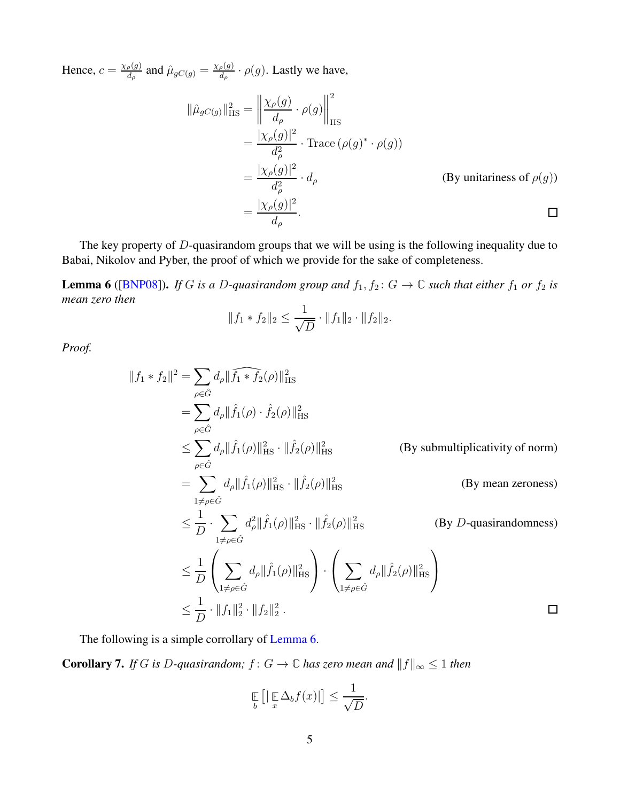<span id="page-4-2"></span>Hence,  $c = \frac{\chi_{\rho}(g)}{d_{\phi}}$  $\frac{\partial \rho(g)}{\partial d\rho}$  and  $\hat{\mu}_{gC(g)} = \frac{\chi_{\rho}(g)}{d\rho}$  $\frac{\rho(g)}{d_{\rho}} \cdot \rho(g)$ . Lastly we have,

$$
\|\hat{\mu}_{gC(g)}\|_{\text{HS}}^2 = \left\|\frac{\chi_{\rho}(g)}{d_{\rho}} \cdot \rho(g)\right\|_{\text{HS}}^2
$$
  
\n
$$
= \frac{|\chi_{\rho}(g)|^2}{d_{\rho}^2} \cdot \text{Trace}(\rho(g)^* \cdot \rho(g))
$$
  
\n
$$
= \frac{|\chi_{\rho}(g)|^2}{d_{\rho}^2} \cdot d_{\rho}
$$
 (By unitariness of  $\rho(g)$ )  
\n
$$
= \frac{|\chi_{\rho}(g)|^2}{d_{\rho}}.
$$

<span id="page-4-0"></span>The key property of D-quasirandom groups that we will be using is the following inequality due to Babai, Nikolov and Pyber, the proof of which we provide for the sake of completeness.

**Lemma 6** ([\[BNP08\]](#page-8-10)). *If G is a D-quasirandom group and*  $f_1, f_2$ :  $G \to \mathbb{C}$  *such that either*  $f_1$  *or*  $f_2$  *is mean zero then*

$$
||f_1 * f_2||_2 \le \frac{1}{\sqrt{D}} \cdot ||f_1||_2 \cdot ||f_2||_2.
$$

*Proof.*

$$
||f_1 * f_2||^2 = \sum_{\rho \in \hat{G}} d_{\rho} ||\widehat{f_1} * \widehat{f_2}(\rho)||_{\text{HS}}^2
$$
  
\n
$$
= \sum_{\rho \in \hat{G}} d_{\rho} ||\widehat{f_1}(\rho) \cdot \widehat{f_2}(\rho)||_{\text{HS}}^2
$$
  
\n
$$
\leq \sum_{\rho \in \hat{G}} d_{\rho} ||\widehat{f_1}(\rho)||_{\text{HS}}^2 \cdot ||\widehat{f_2}(\rho)||_{\text{HS}}^2 \qquad \text{(By submultiplicativity of norm)}
$$
  
\n
$$
= \sum_{1 \neq \rho \in \hat{G}} d_{\rho} ||\widehat{f_1}(\rho)||_{\text{HS}}^2 \cdot ||\widehat{f_2}(\rho)||_{\text{HS}}^2 \qquad \text{(By mean zeroes)}
$$
  
\n
$$
\leq \frac{1}{D} \cdot \sum_{1 \neq \rho \in \hat{G}} d_{\rho}^2 ||\widehat{f_1}(\rho)||_{\text{HS}}^2 \cdot ||\widehat{f_2}(\rho)||_{\text{HS}}^2 \qquad \text{(By } D\text{-quasirandomness)}
$$
  
\n
$$
\leq \frac{1}{D} \left( \sum_{1 \neq \rho \in \hat{G}} d_{\rho} ||\widehat{f_1}(\rho)||_{\text{HS}}^2 \right) \cdot \left( \sum_{1 \neq \rho \in \hat{G}} d_{\rho} ||\widehat{f_2}(\rho)||_{\text{HS}}^2 \right)
$$
  
\n
$$
\leq \frac{1}{D} \cdot ||f_1||_2^2 \cdot ||f_2||_2^2.
$$

<span id="page-4-1"></span>The following is a simple corrollary of [Lemma 6.](#page-4-0)

**Corollary 7.** *If* G *is* D-quasirandom;  $f: G \to \mathbb{C}$  *has zero mean and*  $||f||_{\infty} \leq 1$  *then* 

$$
\mathop{\mathbb{E}}_{b}\left[\left|\mathop{\mathbb{E}}_{x}\Delta_{b}f(x)\right|\right]\leq\frac{1}{\sqrt{D}}.
$$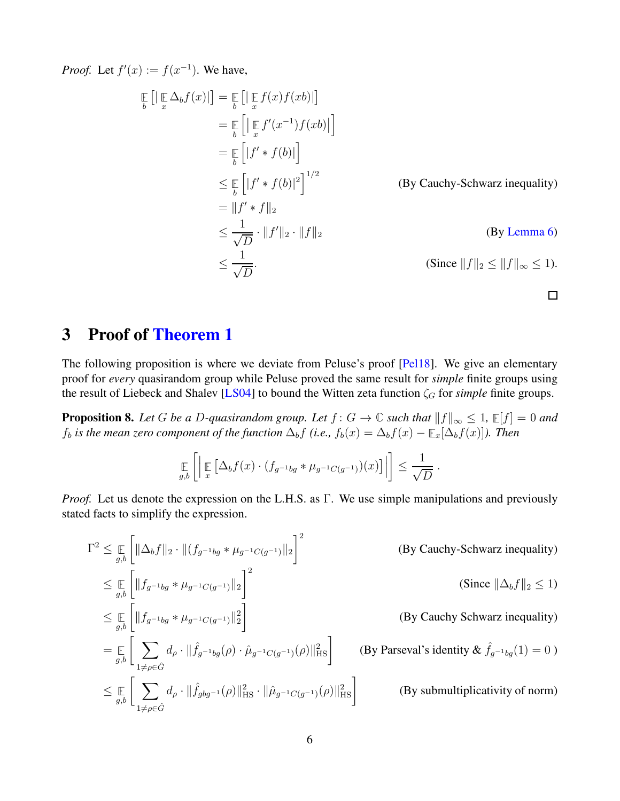<span id="page-5-1"></span>*Proof.* Let  $f'(x) := f(x^{-1})$ . We have,

$$
\mathbb{E}\left[\left|\mathbb{E}\Delta_{b}f(x)\right|\right] = \mathbb{E}\left[\left|\mathbb{E}f(x)f(xb)\right|\right]
$$
\n
$$
= \mathbb{E}\left[\left|\mathbb{E}f'(x^{-1})f(xb)\right|\right]
$$
\n
$$
= \mathbb{E}\left[\left|f'*f(b)\right|\right]
$$
\n
$$
\leq \mathbb{E}\left[\left|f'*f(b)\right|^{2}\right]^{1/2}
$$
\n(By Cauchy-Schwarz inequality)\n
$$
= \|f'*f\|_{2}
$$
\n
$$
\leq \frac{1}{\sqrt{D}} \cdot \|f'\|_{2} \cdot \|f\|_{2}
$$
\n(By Lemma 6)\n
$$
\leq \frac{1}{\sqrt{D}}.
$$
\n(Since  $\|f\|_{2} \leq \|f\|_{\infty} \leq 1$ ).

## 3 Proof of [Theorem 1](#page-1-1)

The following proposition is where we deviate from Peluse's proof [\[Pel18\]](#page-8-7). We give an elementary proof for *every* quasirandom group while Peluse proved the same result for *simple* finite groups using the result of Liebeck and Shalev [\[LS04\]](#page-8-8) to bound the Witten zeta function  $\zeta_G$  for *simple* finite groups.

<span id="page-5-0"></span>**Proposition 8.** Let G be a D-quasirandom group. Let  $f: G \to \mathbb{C}$  such that  $||f||_{\infty} \leq 1$ ,  $\mathbb{E}[f] = 0$  and  $f_b$  *is the mean zero component of the function*  $\Delta_b f$  *(i.e.,*  $f_b(x) = \Delta_b f(x) - \mathbb{E}_x[\Delta_b f(x)]$ *). Then* 

$$
\mathop{\mathbb{E}}_{g,b}\left[\left|\mathop{\mathbb{E}}_{x}\left[\Delta_{b}f(x)\cdot (f_{g^{-1}bg}*\mu_{g^{-1}C(g^{-1})})(x)\right]\right|\right] \leq \frac{1}{\sqrt{D}}.
$$

*Proof.* Let us denote the expression on the L.H.S. as Γ. We use simple manipulations and previously stated facts to simplify the expression.

$$
\Gamma^{2} \leq \mathop{\mathbb{E}}_{g,b} \left[ \|\Delta_{b}f\|_{2} \cdot \| (f_{g^{-1}bg} * \mu_{g^{-1}C(g^{-1})} \|_{2} \right]^{2}
$$
\n(By Cauchy-Schwarz inequality)  
\n
$$
\leq \mathop{\mathbb{E}}_{g,b} \left[ \|f_{g^{-1}bg} * \mu_{g^{-1}C(g^{-1})} \|_{2} \right]^{2}
$$
\n(Since  $\|\Delta_{b}f\|_{2} \leq 1$ )  
\n
$$
\leq \mathop{\mathbb{E}}_{g,b} \left[ \|f_{g^{-1}bg} * \mu_{g^{-1}C(g^{-1})} \|_{2}^{2} \right]
$$
\n(By Cauchy Schwarz inequality)  
\n
$$
= \mathop{\mathbb{E}}_{g,b} \left[ \sum_{1 \neq \rho \in \hat{G}} d_{\rho} \cdot \| \hat{f}_{g^{-1}bg}(\rho) \cdot \hat{\mu}_{g^{-1}C(g^{-1})}(\rho) \|_{\text{HS}}^{2} \right]
$$
\n(By Parseval's identity &  $\hat{f}_{g^{-1}bg}(1) = 0$ )  
\n
$$
\leq \mathop{\mathbb{E}}_{g,b} \left[ \sum_{1 \neq \rho \in \hat{G}} d_{\rho} \cdot \| \hat{f}_{gbg^{-1}}(\rho) \|_{\text{HS}}^{2} \cdot \| \hat{\mu}_{g^{-1}C(g^{-1})}(\rho) \|_{\text{HS}}^{2} \right]
$$
\n(By submultiplicativity of norm)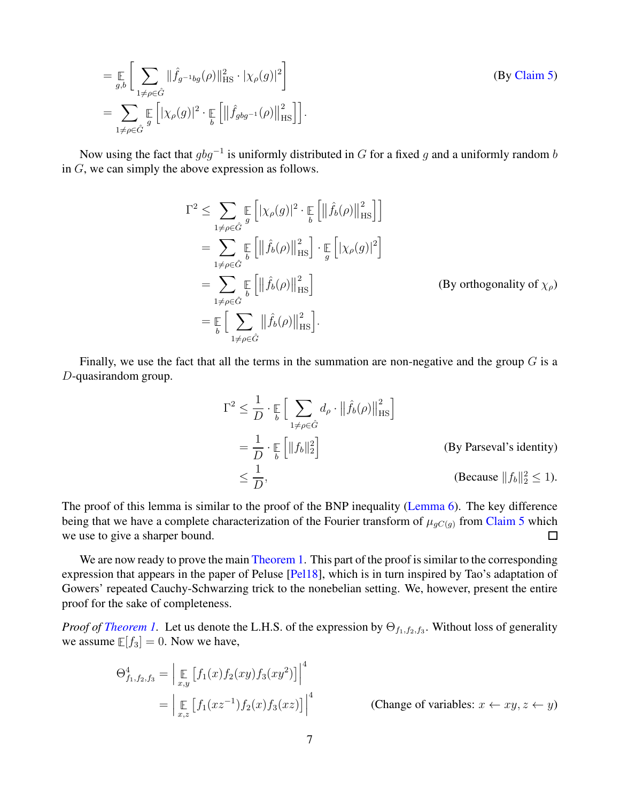<span id="page-6-0"></span> $=\mathop{\mathbb{E}}\limits_{g,b}\Bigg[\sum\limits_{1\neq \rho\in \hat{G}}% \left(\frac{\left(1+e^{-\frac{1}{2}}\right)}{\rho}\right)\Bigg]$  $\|\hat{f}_{g^{-1}bg}(\rho)\|_{\text{HS}}^2 \cdot |\chi_{\rho}(g)|^2$ (By [Claim 5\)](#page-3-0)  $=$   $\sum$  $1 \neq \rho \in \hat{G}$ **E** g  $\left[|\chi_{\rho}(g)|^2 \cdot \mathbb{E} \atop b \right]$  $\left[ \left\| \hat{f}_{gbg^{-1}}(\rho) \right\| \right]$  $\begin{bmatrix} 2 \\ \text{HS} \end{bmatrix}$ .

Now using the fact that  $gbg^{-1}$  is uniformly distributed in G for a fixed g and a uniformly random b in G, we can simply the above expression as follows.

$$
\Gamma^{2} \leq \sum_{1 \neq \rho \in \hat{G}} \mathbb{E} \left[ |\chi_{\rho}(g)|^{2} \cdot \mathbb{E} \left[ \| \hat{f}_{b}(\rho) \|_{\text{HS}}^{2} \right] \right]
$$
\n
$$
= \sum_{1 \neq \rho \in \hat{G}} \mathbb{E} \left[ \| \hat{f}_{b}(\rho) \|_{\text{HS}}^{2} \right] \cdot \mathbb{E} \left[ |\chi_{\rho}(g)|^{2} \right]
$$
\n
$$
= \sum_{1 \neq \rho \in \hat{G}} \mathbb{E} \left[ \| \hat{f}_{b}(\rho) \|_{\text{HS}}^{2} \right]
$$
\n
$$
= \sum_{1 \neq \rho \in \hat{G}} \mathbb{E} \left[ \| \hat{f}_{b}(\rho) \|_{\text{HS}}^{2} \right]
$$
\n
$$
= \mathbb{E} \left[ \sum_{1 \neq \rho \in \hat{G}} \| \hat{f}_{b}(\rho) \|_{\text{HS}}^{2} \right].
$$
\n(By orthogonality of  $\chi_{\rho}$ )

Finally, we use the fact that all the terms in the summation are non-negative and the group  $G$  is a D-quasirandom group.

$$
\Gamma^{2} \leq \frac{1}{D} \cdot \mathop{\mathbb{E}}_{b} \Big[ \sum_{1 \neq \rho \in \hat{G}} d_{\rho} \cdot ||\hat{f}_{b}(\rho)||_{\text{HS}}^{2} \Big]
$$
\n
$$
= \frac{1}{D} \cdot \mathop{\mathbb{E}}_{b} \Big[ ||f_{b}||_{2}^{2} \Big] \qquad \qquad \text{(By Parseval's identity)}
$$
\n
$$
\leq \frac{1}{D}, \qquad \qquad \text{(Because } ||f_{b}||_{2}^{2} \leq 1).
$$

The proof of this lemma is similar to the proof of the BNP inequality [\(Lemma 6\)](#page-4-0). The key difference being that we have a complete characterization of the Fourier transform of  $\mu_{gC(g)}$  from [Claim 5](#page-3-0) which we use to give a sharper bound.  $\Box$ 

We are now ready to prove the main [Theorem 1.](#page-1-1) This part of the proof is similar to the corresponding expression that appears in the paper of Peluse [\[Pel18\]](#page-8-7), which is in turn inspired by Tao's adaptation of Gowers' repeated Cauchy-Schwarzing trick to the nonebelian setting. We, however, present the entire proof for the sake of completeness.

*Proof of Theorem 1*. Let us denote the L.H.S. of the expression by  $\Theta_{f_1,f_2,f_3}$ . Without loss of generality we assume  $E[f_3] = 0$ . Now we have,

$$
\Theta_{f_1, f_2, f_3}^4 = \left| \mathop{\mathbb{E}}_{x,y} \left[ f_1(x) f_2(xy) f_3(xy^2) \right] \right|^4
$$
  
= 
$$
\left| \mathop{\mathbb{E}}_{x,z} \left[ f_1(xz^{-1}) f_2(x) f_3(xz) \right] \right|^4
$$
 (Change of variables:  $x \leftarrow xy, z \leftarrow y$ )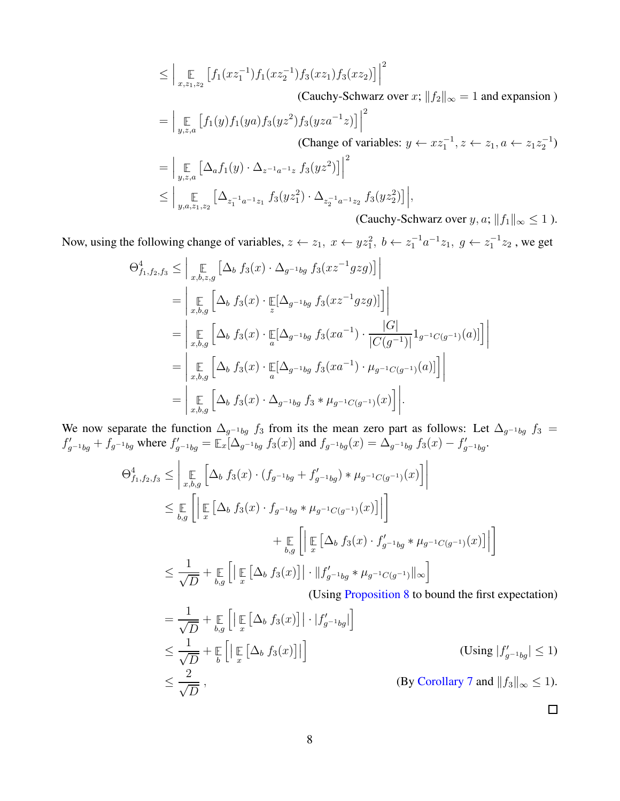$$
\leq \Big| \mathop{\mathbb{E}}_{x,z_1,z_2} \left[ f_1(xz_1^{-1}) f_1(xz_2^{-1}) f_3(xz_1) f_3(xz_2) \right] \Big|^2
$$
\n(Cauchy-Schwarz over  $x$ ;  $||f_2||_{\infty} = 1$  and expansion)  
\n
$$
= \Big| \mathop{\mathbb{E}}_{y,z,a} \left[ f_1(y) f_1(ya) f_3(yz^2) f_3(yza^{-1}z) \right] \Big|^2
$$
\n(Change of variables:  $y \leftarrow xz_1^{-1}, z \leftarrow z_1, a \leftarrow z_1z_2^{-1}$ )  
\n
$$
= \Big| \mathop{\mathbb{E}}_{y,z,a} \left[ \Delta_a f_1(y) \cdot \Delta_{z^{-1}a^{-1}z} f_3(yz^2) \right] \Big|^2
$$
\n
$$
\leq \Big| \mathop{\mathbb{E}}_{y,a,z_1,z_2} \left[ \Delta_{z_1^{-1}a^{-1}z_1} f_3(yz_1^2) \cdot \Delta_{z_2^{-1}a^{-1}z_2} f_3(yz_2^2) \right] \Big|,
$$
\n(Cauchy-Schwarz over  $y, a$ ;  $||f_1||_{\infty} \leq 1$ ).

Now, using the following change of variables,  $z \leftarrow z_1$ ,  $x \leftarrow y z_1^2$ ,  $b \leftarrow z_1^{-1} a^{-1} z_1$ ,  $g \leftarrow z_1^{-1} z_2$ , we get

$$
\Theta_{f_1, f_2, f_3}^4 \leq \Big| \mathop{\mathbb{E}}_{x, b, z, g} \Big[ \Delta_b f_3(x) \cdot \Delta_{g^{-1}bg} f_3(xz^{-1}gzg) \Big] \Big|
$$
  
\n
$$
= \Big| \mathop{\mathbb{E}}_{x, b, g} \Big[ \Delta_b f_3(x) \cdot \mathop{\mathbb{E}}_{z} [\Delta_{g^{-1}bg} f_3(xz^{-1}gzg)] \Big] \Big|
$$
  
\n
$$
= \Big| \mathop{\mathbb{E}}_{x, b, g} \Big[ \Delta_b f_3(x) \cdot \mathop{\mathbb{E}}_{a} [\Delta_{g^{-1}bg} f_3(xa^{-1}) \cdot \frac{|G|}{|C(g^{-1})|} 1_{g^{-1}C(g^{-1})}(a)] \Big] \Big|
$$
  
\n
$$
= \Big| \mathop{\mathbb{E}}_{x, b, g} \Big[ \Delta_b f_3(x) \cdot \mathop{\mathbb{E}}_{a} [\Delta_{g^{-1}bg} f_3(xa^{-1}) \cdot \mu_{g^{-1}C(g^{-1})}(a)] \Big] \Big|
$$
  
\n
$$
= \Big| \mathop{\mathbb{E}}_{x, b, g} \Big[ \Delta_b f_3(x) \cdot \Delta_{g^{-1}bg} f_3 * \mu_{g^{-1}C(g^{-1})}(x) \Big] \Big|.
$$

We now separate the function  $\Delta_{g^{-1}bg} f_3$  from its the mean zero part as follows: Let  $\Delta_{g^{-1}bg} f_3 =$  $f'_{g^{-1}bg} + f_{g^{-1}bg}$  where  $f'_{g^{-1}bg} = \mathbb{E}_x[\Delta_{g^{-1}bg} f_3(x)]$  and  $f_{g^{-1}bg}(x) = \Delta_{g^{-1}bg} f_3(x) - f'_{g^{-1}bg}$ .

$$
\Theta_{f_1, f_2, f_3}^4 \leq \left| \mathop{\mathbb{E}}_{x, b, g} \left[ \Delta_b f_3(x) \cdot (f_{g^{-1}bg} + f'_{g^{-1}bg}) * \mu_{g^{-1}C(g^{-1})}(x) \right] \right|
$$
  
\n
$$
\leq \mathop{\mathbb{E}}_{b, g} \left[ \left| \mathop{\mathbb{E}}_{x} \left[ \Delta_b f_3(x) \cdot f_{g^{-1}bg} * \mu_{g^{-1}C(g^{-1})}(x) \right] \right| \right]
$$
  
\n
$$
+ \mathop{\mathbb{E}}_{b, g} \left[ \left| \mathop{\mathbb{E}}_{x} \left[ \Delta_b f_3(x) \cdot f'_{g^{-1}bg} * \mu_{g^{-1}C(g^{-1})}(x) \right] \right| \right]
$$
  
\n
$$
\leq \frac{1}{\sqrt{D}} + \mathop{\mathbb{E}}_{b, g} \left[ \left| \mathop{\mathbb{E}}_{x} \left[ \Delta_b f_3(x) \right] \right| \cdot \left| |f'_{g^{-1}bg} * \mu_{g^{-1}C(g^{-1})} \right| \right| \right]
$$
  
\n(Ising Proposition 8 to bound the first e

(Using [Proposition 8](#page-5-0) to bound the first expectation)

$$
= \frac{1}{\sqrt{D}} + \underset{b,g}{\mathbb{E}} \left[ \left| \underset{x}{\mathbb{E}} \left[ \Delta_b f_3(x) \right] \right| \cdot |f'_{g^{-1}bg}| \right]
$$
  
\n
$$
\leq \frac{1}{\sqrt{D}} + \underset{b}{\mathbb{E}} \left[ \left| \underset{x}{\mathbb{E}} \left[ \Delta_b f_3(x) \right] \right| \right]
$$
  
\n
$$
\leq \frac{2}{\sqrt{D}}, \qquad \qquad \text{(By Corollary 7 and } \|f_3\|_{\infty} \leq 1).
$$

 $\Box$